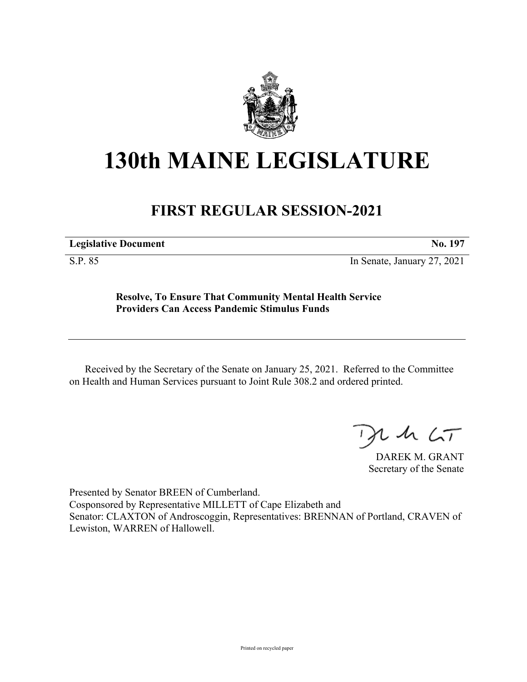

## **130th MAINE LEGISLATURE**

## **FIRST REGULAR SESSION-2021**

**Legislative Document No. 197**

S.P. 85 In Senate, January 27, 2021

**Resolve, To Ensure That Community Mental Health Service Providers Can Access Pandemic Stimulus Funds**

Received by the Secretary of the Senate on January 25, 2021. Referred to the Committee on Health and Human Services pursuant to Joint Rule 308.2 and ordered printed.

 $125$ 

DAREK M. GRANT Secretary of the Senate

Presented by Senator BREEN of Cumberland. Cosponsored by Representative MILLETT of Cape Elizabeth and Senator: CLAXTON of Androscoggin, Representatives: BRENNAN of Portland, CRAVEN of Lewiston, WARREN of Hallowell.